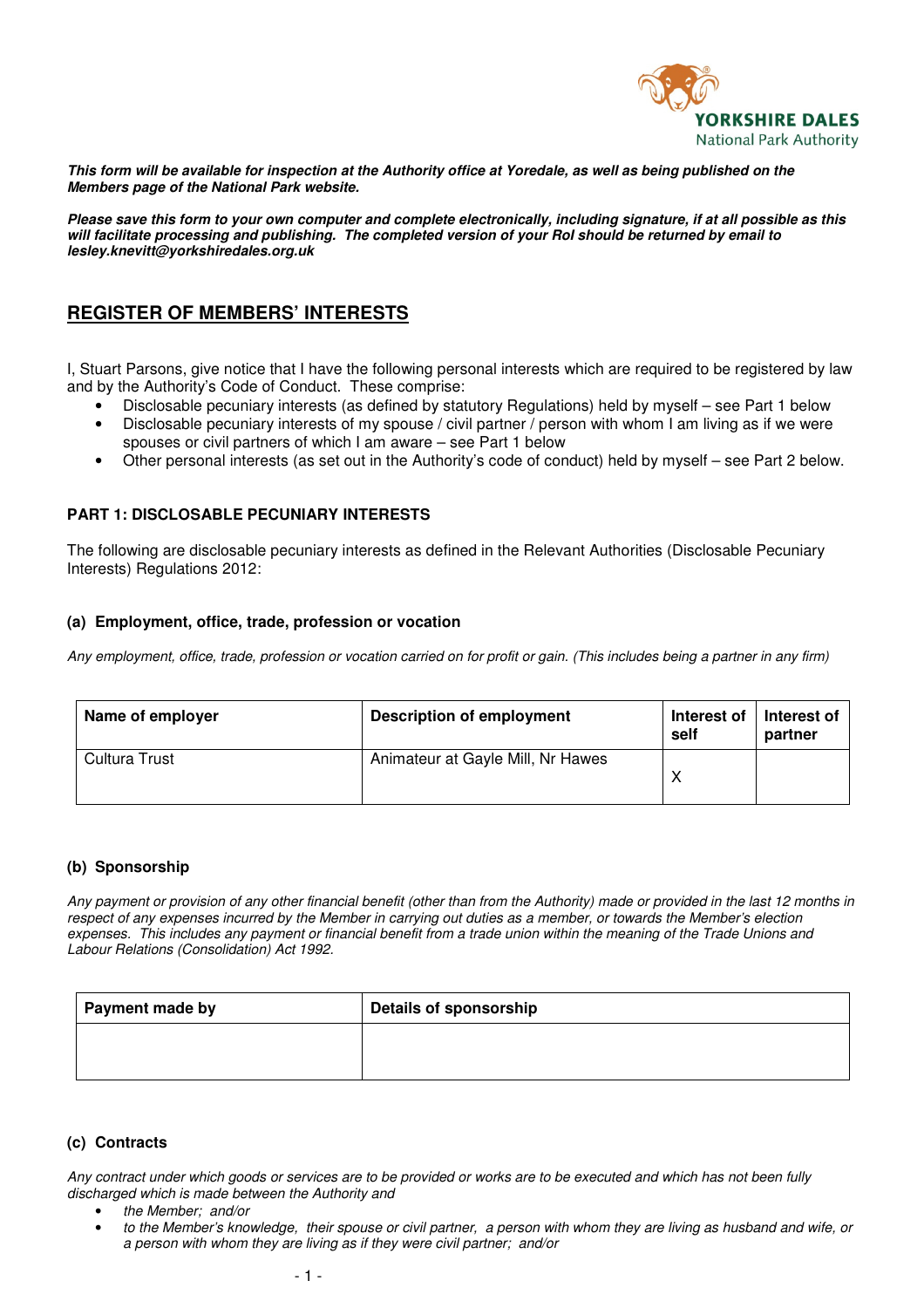

**This form will be available for inspection at the Authority office at Yoredale, as well as being published on the Members page of the National Park website.** 

**Please save this form to your own computer and complete electronically, including signature, if at all possible as this will facilitate processing and publishing. The completed version of your RoI should be returned by email to lesley.knevitt@yorkshiredales.org.uk** 

# **REGISTER OF MEMBERS' INTERESTS**

I, Stuart Parsons, give notice that I have the following personal interests which are required to be registered by law and by the Authority's Code of Conduct. These comprise:

- Disclosable pecuniary interests (as defined by statutory Regulations) held by myself see Part 1 below
- Disclosable pecuniary interests of my spouse / civil partner / person with whom I am living as if we were spouses or civil partners of which I am aware – see Part 1 below
- Other personal interests (as set out in the Authority's code of conduct) held by myself see Part 2 below.

### **PART 1: DISCLOSABLE PECUNIARY INTERESTS**

The following are disclosable pecuniary interests as defined in the Relevant Authorities (Disclosable Pecuniary Interests) Regulations 2012:

#### **(a) Employment, office, trade, profession or vocation**

*Any employment, office, trade, profession or vocation carried on for profit or gain. (This includes being a partner in any firm)* 

| Name of employer | <b>Description of employment</b>  | Interest of<br>self | Interest of<br>partner |
|------------------|-----------------------------------|---------------------|------------------------|
| Cultura Trust    | Animateur at Gayle Mill, Nr Hawes |                     |                        |

#### **(b) Sponsorship**

*Any payment or provision of any other financial benefit (other than from the Authority) made or provided in the last 12 months in respect of any expenses incurred by the Member in carrying out duties as a member, or towards the Member's election*  expenses. This includes any payment or financial benefit from a trade union within the meaning of the Trade Unions and *Labour Relations (Consolidation) Act 1992.* 

| <b>Payment made by</b> | <b>Details of sponsorship</b> |
|------------------------|-------------------------------|
|                        |                               |
|                        |                               |

### **(c) Contracts**

*Any contract under which goods or services are to be provided or works are to be executed and which has not been fully discharged which is made between the Authority and* 

- *the Member; and/or*
- *to the Member's knowledge, their spouse or civil partner, a person with whom they are living as husband and wife, or a person with whom they are living as if they were civil partner; and/or*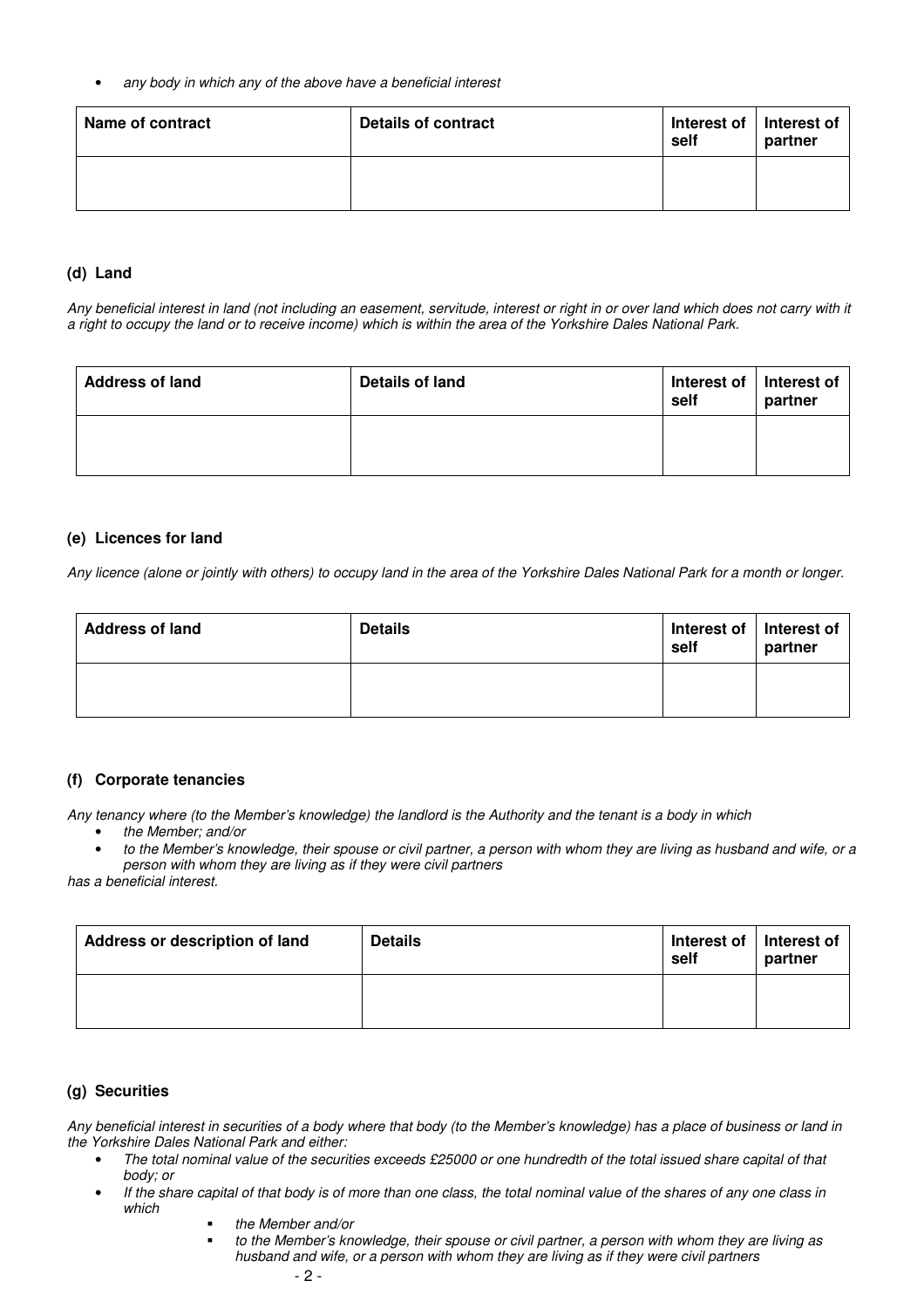• *any body in which any of the above have a beneficial interest* 

| Name of contract | Details of contract | Interest of   Interest of<br>self | partner |
|------------------|---------------------|-----------------------------------|---------|
|                  |                     |                                   |         |

### **(d) Land**

*Any beneficial interest in land (not including an easement, servitude, interest or right in or over land which does not carry with it a right to occupy the land or to receive income) which is within the area of the Yorkshire Dales National Park.* 

| <b>Address of land</b> | Details of land | Interest of   Interest of<br>self | partner |
|------------------------|-----------------|-----------------------------------|---------|
|                        |                 |                                   |         |

#### **(e) Licences for land**

*Any licence (alone or jointly with others) to occupy land in the area of the Yorkshire Dales National Park for a month or longer.* 

| <b>Address of land</b> | <b>Details</b> | Interest of   Interest of<br>self | partner |
|------------------------|----------------|-----------------------------------|---------|
|                        |                |                                   |         |

### **(f) Corporate tenancies**

*Any tenancy where (to the Member's knowledge) the landlord is the Authority and the tenant is a body in which* 

- *the Member; and/or*
- *to the Member's knowledge, their spouse or civil partner, a person with whom they are living as husband and wife, or a person with whom they are living as if they were civil partners*

*has a beneficial interest.* 

| Address or description of land | <b>Details</b> | Interest of<br>self | Interest of<br>partner |
|--------------------------------|----------------|---------------------|------------------------|
|                                |                |                     |                        |

#### **(g) Securities**

*Any beneficial interest in securities of a body where that body (to the Member's knowledge) has a place of business or land in the Yorkshire Dales National Park and either:* 

- *The total nominal value of the securities exceeds £25000 or one hundredth of the total issued share capital of that body; or*
- *If the share capital of that body is of more than one class, the total nominal value of the shares of any one class in which* 
	- *the Member and/or* 
		- *to the Member's knowledge, their spouse or civil partner, a person with whom they are living as husband and wife, or a person with whom they are living as if they were civil partners*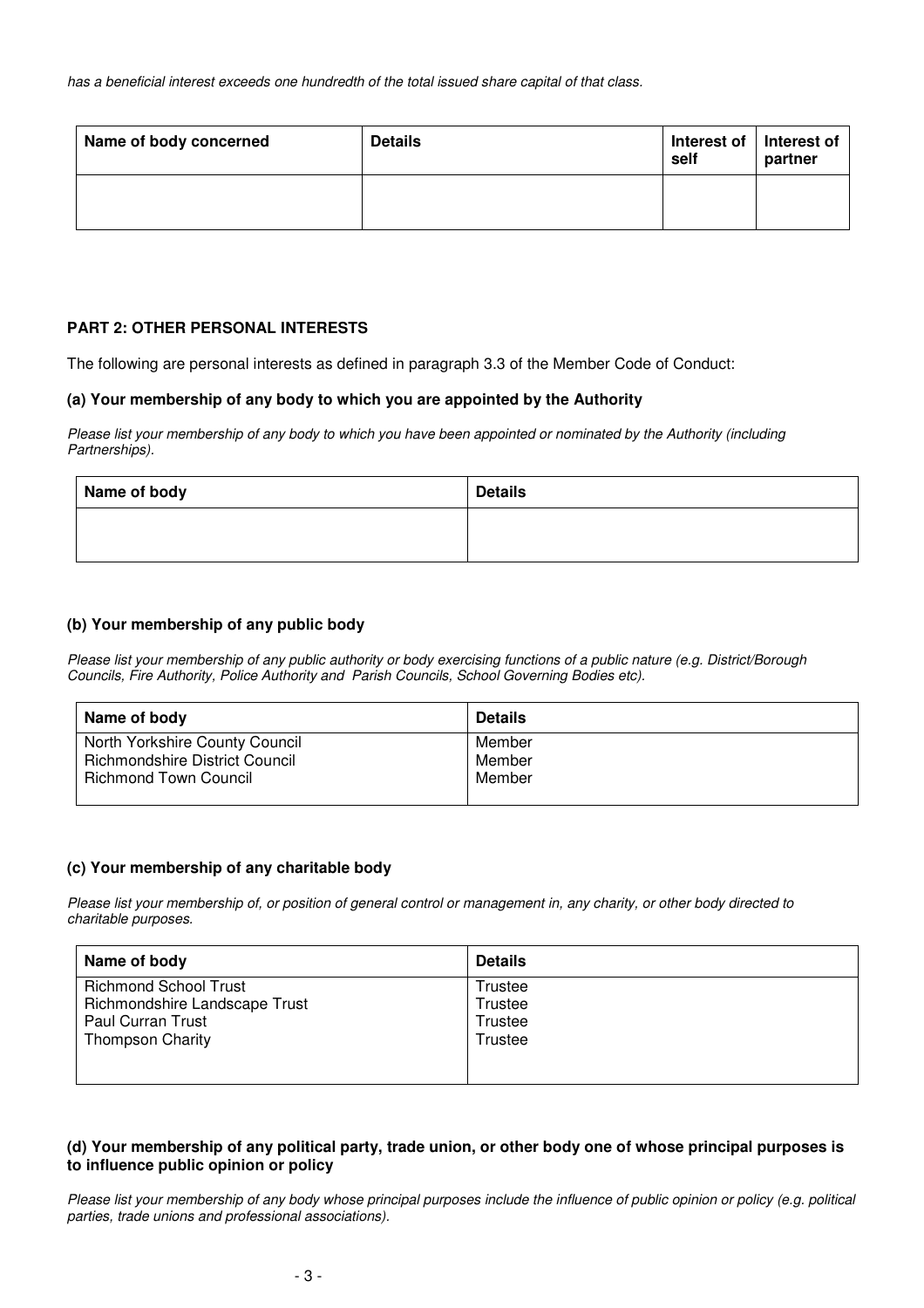| Name of body concerned | <b>Details</b> | Interest of   Interest of<br>self | partner |
|------------------------|----------------|-----------------------------------|---------|
|                        |                |                                   |         |

### **PART 2: OTHER PERSONAL INTERESTS**

The following are personal interests as defined in paragraph 3.3 of the Member Code of Conduct:

### **(a) Your membership of any body to which you are appointed by the Authority**

*Please list your membership of any body to which you have been appointed or nominated by the Authority (including Partnerships).* 

| Name of body | <b>Details</b> |
|--------------|----------------|
|              |                |
|              |                |

### **(b) Your membership of any public body**

*Please list your membership of any public authority or body exercising functions of a public nature (e.g. District/Borough Councils, Fire Authority, Police Authority and Parish Councils, School Governing Bodies etc).*

| Name of body                          | <b>Details</b> |
|---------------------------------------|----------------|
| North Yorkshire County Council        | Member         |
| <b>Richmondshire District Council</b> | Member         |
| <b>Richmond Town Council</b>          | Member         |

#### **(c) Your membership of any charitable body**

*Please list your membership of, or position of general control or management in, any charity, or other body directed to charitable purposes.* 

| Name of body                  | <b>Details</b> |
|-------------------------------|----------------|
| <b>Richmond School Trust</b>  | Trustee        |
| Richmondshire Landscape Trust | Trustee        |
| <b>Paul Curran Trust</b>      | Trustee        |
| <b>Thompson Charity</b>       | Trustee        |
|                               |                |
|                               |                |

### **(d) Your membership of any political party, trade union, or other body one of whose principal purposes is to influence public opinion or policy**

*Please list your membership of any body whose principal purposes include the influence of public opinion or policy (e.g. political parties, trade unions and professional associations).*